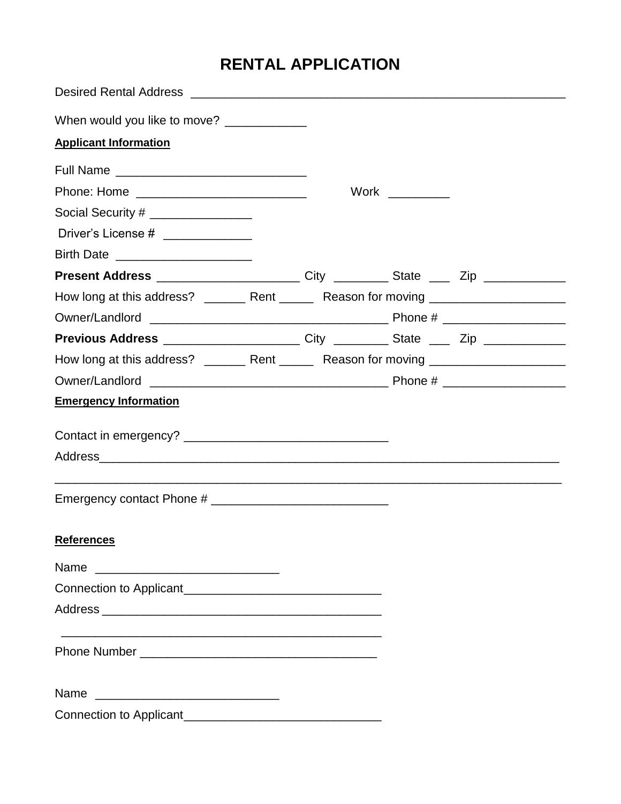## **RENTAL APPLICATION**

| When would you like to move?                                                                         |  |      |  |
|------------------------------------------------------------------------------------------------------|--|------|--|
| <b>Applicant Information</b>                                                                         |  |      |  |
|                                                                                                      |  |      |  |
|                                                                                                      |  | Work |  |
| Social Security # __________________                                                                 |  |      |  |
| Driver's License # ______________                                                                    |  |      |  |
| Birth Date _________________________                                                                 |  |      |  |
| Present Address _________________________________City _____________State _______Zip ________________ |  |      |  |
| How long at this address? _______ Rent ______ Reason for moving _________________                    |  |      |  |
|                                                                                                      |  |      |  |
| Previous Address _____________________________City _____________State _______Zip ___________________ |  |      |  |
| How long at this address? ________ Rent ______ Reason for moving ________________                    |  |      |  |
|                                                                                                      |  |      |  |
| <b>Emergency Information</b>                                                                         |  |      |  |
|                                                                                                      |  |      |  |
|                                                                                                      |  |      |  |
|                                                                                                      |  |      |  |
|                                                                                                      |  |      |  |
| <b>References</b>                                                                                    |  |      |  |
| Name                                                                                                 |  |      |  |
|                                                                                                      |  |      |  |
|                                                                                                      |  |      |  |
|                                                                                                      |  |      |  |
| Name                                                                                                 |  |      |  |
|                                                                                                      |  |      |  |